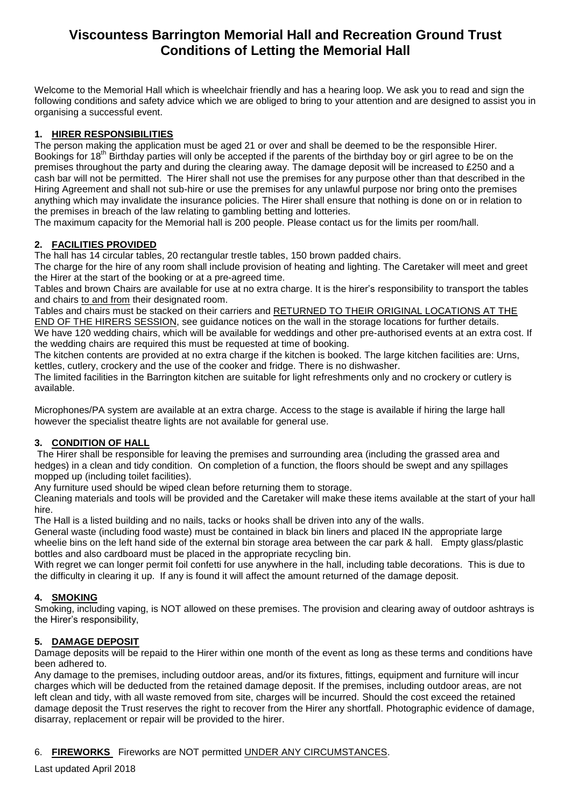# **Viscountess Barrington Memorial Hall and Recreation Ground Trust Conditions of Letting the Memorial Hall**

Welcome to the Memorial Hall which is wheelchair friendly and has a hearing loop. We ask you to read and sign the following conditions and safety advice which we are obliged to bring to your attention and are designed to assist you in organising a successful event.

### **1. HIRER RESPONSIBILITIES**

The person making the application must be aged 21 or over and shall be deemed to be the responsible Hirer. Bookings for 18<sup>th</sup> Birthday parties will only be accepted if the parents of the birthday boy or girl agree to be on the premises throughout the party and during the clearing away. The damage deposit will be increased to £250 and a cash bar will not be permitted. The Hirer shall not use the premises for any purpose other than that described in the Hiring Agreement and shall not sub-hire or use the premises for any unlawful purpose nor bring onto the premises anything which may invalidate the insurance policies. The Hirer shall ensure that nothing is done on or in relation to the premises in breach of the law relating to gambling betting and lotteries.

The maximum capacity for the Memorial hall is 200 people. Please contact us for the limits per room/hall.

# **2. FACILITIES PROVIDED**

The hall has 14 circular tables, 20 rectangular trestle tables, 150 brown padded chairs.

The charge for the hire of any room shall include provision of heating and lighting. The Caretaker will meet and greet the Hirer at the start of the booking or at a pre-agreed time.

Tables and brown Chairs are available for use at no extra charge. It is the hirer's responsibility to transport the tables and chairs to and from their designated room.

Tables and chairs must be stacked on their carriers and RETURNED TO THEIR ORIGINAL LOCATIONS AT THE END OF THE HIRERS SESSION, see guidance notices on the wall in the storage locations for further details. We have 120 wedding chairs, which will be available for weddings and other pre-authorised events at an extra cost. If the wedding chairs are required this must be requested at time of booking.

The kitchen contents are provided at no extra charge if the kitchen is booked. The large kitchen facilities are: Urns, kettles, cutlery, crockery and the use of the cooker and fridge. There is no dishwasher.

The limited facilities in the Barrington kitchen are suitable for light refreshments only and no crockery or cutlery is available.

Microphones/PA system are available at an extra charge. Access to the stage is available if hiring the large hall however the specialist theatre lights are not available for general use.

# **3. CONDITION OF HALL**

The Hirer shall be responsible for leaving the premises and surrounding area (including the grassed area and hedges) in a clean and tidy condition. On completion of a function, the floors should be swept and any spillages mopped up (including toilet facilities).

Any furniture used should be wiped clean before returning them to storage.

Cleaning materials and tools will be provided and the Caretaker will make these items available at the start of your hall hire.

The Hall is a listed building and no nails, tacks or hooks shall be driven into any of the walls.

General waste (including food waste) must be contained in black bin liners and placed IN the appropriate large wheelie bins on the left hand side of the external bin storage area between the car park & hall. Empty glass/plastic bottles and also cardboard must be placed in the appropriate recycling bin.

With regret we can longer permit foil confetti for use anywhere in the hall, including table decorations. This is due to the difficulty in clearing it up. If any is found it will affect the amount returned of the damage deposit.

# **4. SMOKING**

Smoking, including vaping, is NOT allowed on these premises. The provision and clearing away of outdoor ashtrays is the Hirer's responsibility,

# **5. DAMAGE DEPOSIT**

Damage deposits will be repaid to the Hirer within one month of the event as long as these terms and conditions have been adhered to.

Any damage to the premises, including outdoor areas, and/or its fixtures, fittings, equipment and furniture will incur charges which will be deducted from the retained damage deposit. If the premises, including outdoor areas, are not left clean and tidy, with all waste removed from site, charges will be incurred. Should the cost exceed the retained damage deposit the Trust reserves the right to recover from the Hirer any shortfall. Photographic evidence of damage, disarray, replacement or repair will be provided to the hirer.

# 6. **FIREWORKS** Fireworks are NOT permitted UNDER ANY CIRCUMSTANCES.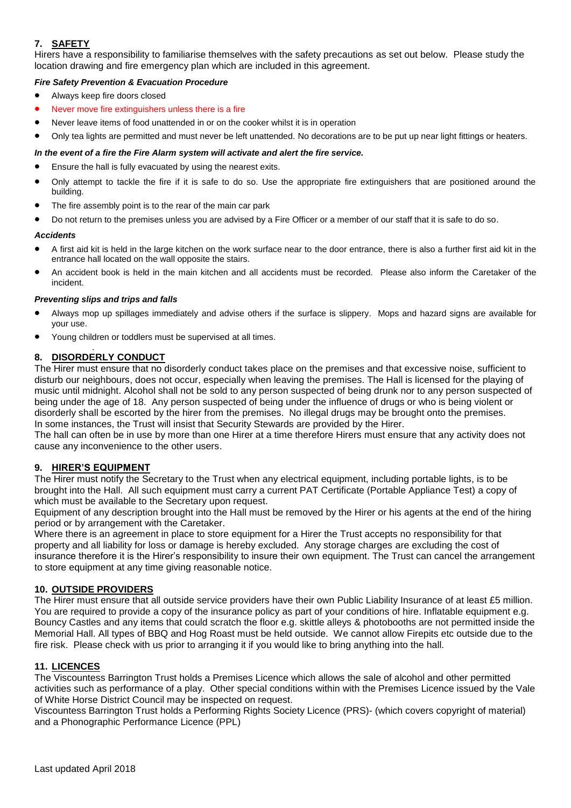# **7. SAFETY**

Hirers have a responsibility to familiarise themselves with the safety precautions as set out below. Please study the location drawing and fire emergency plan which are included in this agreement.

### *Fire Safety Prevention & Evacuation Procedure*

- Always keep fire doors closed
- Never move fire extinguishers unless there is a fire
- Never leave items of food unattended in or on the cooker whilst it is in operation
- Only tea lights are permitted and must never be left unattended. No decorations are to be put up near light fittings or heaters.

### *In the event of a fire the Fire Alarm system will activate and alert the fire service.*

- Ensure the hall is fully evacuated by using the nearest exits.
- Only attempt to tackle the fire if it is safe to do so. Use the appropriate fire extinguishers that are positioned around the building.
- The fire assembly point is to the rear of the main car park
- Do not return to the premises unless you are advised by a Fire Officer or a member of our staff that it is safe to do so.

### *Accidents*

- A first aid kit is held in the large kitchen on the work surface near to the door entrance, there is also a further first aid kit in the entrance hall located on the wall opposite the stairs.
- An accident book is held in the main kitchen and all accidents must be recorded. Please also inform the Caretaker of the incident.

### *Preventing slips and trips and falls*

- Always mop up spillages immediately and advise others if the surface is slippery. Mops and hazard signs are available for your use.
- Young children or toddlers must be supervised at all times.

#### . **8. DISORDERLY CONDUCT**

The Hirer must ensure that no disorderly conduct takes place on the premises and that excessive noise, sufficient to disturb our neighbours, does not occur, especially when leaving the premises. The Hall is licensed for the playing of music until midnight. Alcohol shall not be sold to any person suspected of being drunk nor to any person suspected of being under the age of 18. Any person suspected of being under the influence of drugs or who is being violent or disorderly shall be escorted by the hirer from the premises. No illegal drugs may be brought onto the premises. In some instances, the Trust will insist that Security Stewards are provided by the Hirer.

The hall can often be in use by more than one Hirer at a time therefore Hirers must ensure that any activity does not cause any inconvenience to the other users.

### **9. HIRER'S EQUIPMENT**

The Hirer must notify the Secretary to the Trust when any electrical equipment, including portable lights, is to be brought into the Hall. All such equipment must carry a current PAT Certificate (Portable Appliance Test) a copy of which must be available to the Secretary upon request.

Equipment of any description brought into the Hall must be removed by the Hirer or his agents at the end of the hiring period or by arrangement with the Caretaker.

Where there is an agreement in place to store equipment for a Hirer the Trust accepts no responsibility for that property and all liability for loss or damage is hereby excluded. Any storage charges are excluding the cost of insurance therefore it is the Hirer's responsibility to insure their own equipment. The Trust can cancel the arrangement to store equipment at any time giving reasonable notice.

### **10. OUTSIDE PROVIDERS**

The Hirer must ensure that all outside service providers have their own Public Liability Insurance of at least £5 million. You are required to provide a copy of the insurance policy as part of your conditions of hire. Inflatable equipment e.g. Bouncy Castles and any items that could scratch the floor e.g. skittle alleys & photobooths are not permitted inside the Memorial Hall. All types of BBQ and Hog Roast must be held outside. We cannot allow Firepits etc outside due to the fire risk. Please check with us prior to arranging it if you would like to bring anything into the hall.

### **11. LICENCES**

The Viscountess Barrington Trust holds a Premises Licence which allows the sale of alcohol and other permitted activities such as performance of a play. Other special conditions within with the Premises Licence issued by the Vale of White Horse District Council may be inspected on request.

Viscountess Barrington Trust holds a Performing Rights Society Licence (PRS)- (which covers copyright of material) and a Phonographic Performance Licence (PPL)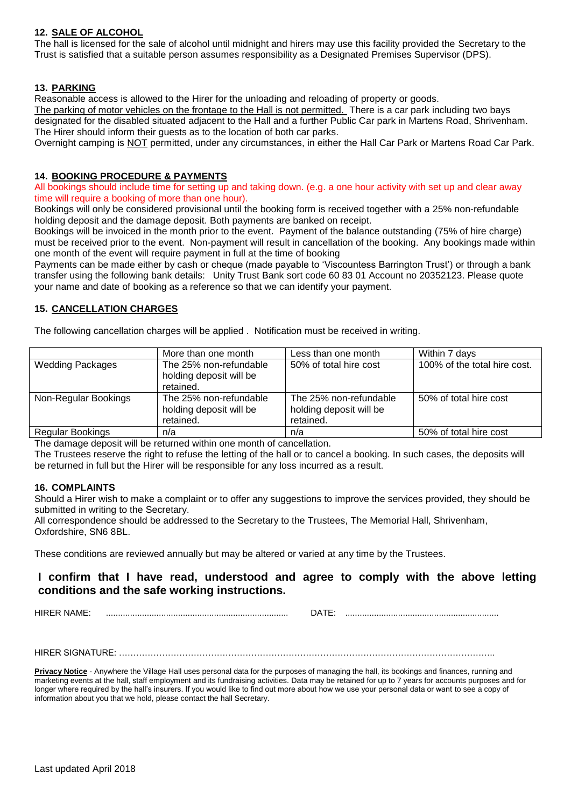### **12. SALE OF ALCOHOL**

The hall is licensed for the sale of alcohol until midnight and hirers may use this facility provided the Secretary to the Trust is satisfied that a suitable person assumes responsibility as a Designated Premises Supervisor (DPS).

### **13. PARKING**

Reasonable access is allowed to the Hirer for the unloading and reloading of property or goods.

The parking of motor vehicles on the frontage to the Hall is not permitted. There is a car park including two bays designated for the disabled situated adjacent to the Hall and a further Public Car park in Martens Road, Shrivenham. The Hirer should inform their guests as to the location of both car parks.

Overnight camping is NOT permitted, under any circumstances, in either the Hall Car Park or Martens Road Car Park.

### **14. BOOKING PROCEDURE & PAYMENTS**

All bookings should include time for setting up and taking down. (e.g. a one hour activity with set up and clear away time will require a booking of more than one hour).

Bookings will only be considered provisional until the booking form is received together with a 25% non-refundable holding deposit and the damage deposit. Both payments are banked on receipt.

Bookings will be invoiced in the month prior to the event. Payment of the balance outstanding (75% of hire charge) must be received prior to the event. Non-payment will result in cancellation of the booking. Any bookings made within one month of the event will require payment in full at the time of booking

Payments can be made either by cash or cheque (made payable to 'Viscountess Barrington Trust') or through a bank transfer using the following bank details: Unity Trust Bank sort code 60 83 01 Account no 20352123. Please quote your name and date of booking as a reference so that we can identify your payment.

### **15. CANCELLATION CHARGES**

The following cancellation charges will be applied . Notification must be received in writing.

| More than one month     | Less than one month     | Within 7 days                |
|-------------------------|-------------------------|------------------------------|
| The 25% non-refundable  | 50% of total hire cost  | 100% of the total hire cost. |
|                         |                         |                              |
| retained.               |                         |                              |
| The 25% non-refundable  | The 25% non-refundable  | 50% of total hire cost       |
| holding deposit will be | holding deposit will be |                              |
| retained.               | retained.               |                              |
| n/a                     | n/a                     | 50% of total hire cost       |
|                         | holding deposit will be |                              |

The damage deposit will be returned within one month of cancellation.

The Trustees reserve the right to refuse the letting of the hall or to cancel a booking. In such cases, the deposits will be returned in full but the Hirer will be responsible for any loss incurred as a result.

### **16. COMPLAINTS**

Should a Hirer wish to make a complaint or to offer any suggestions to improve the services provided, they should be submitted in writing to the Secretary.

All correspondence should be addressed to the Secretary to the Trustees, The Memorial Hall, Shrivenham, Oxfordshire, SN6 8BL.

These conditions are reviewed annually but may be altered or varied at any time by the Trustees.

# **I confirm that I have read, understood and agree to comply with the above letting conditions and the safe working instructions.**

HIRER NAME: ............................................................................ DATE: ................................................................

HIRER SIGNATURE: …………………………………………………………………………………………………………………..

Privacy Notice - Anywhere the Village Hall uses personal data for the purposes of managing the hall, its bookings and finances, running and marketing events at the hall, staff employment and its fundraising activities. Data may be retained for up to 7 years for accounts purposes and for longer where required by the hall's insurers. If you would like to find out more about how we use your personal data or want to see a copy of information about you that we hold, please contact the hall Secretary.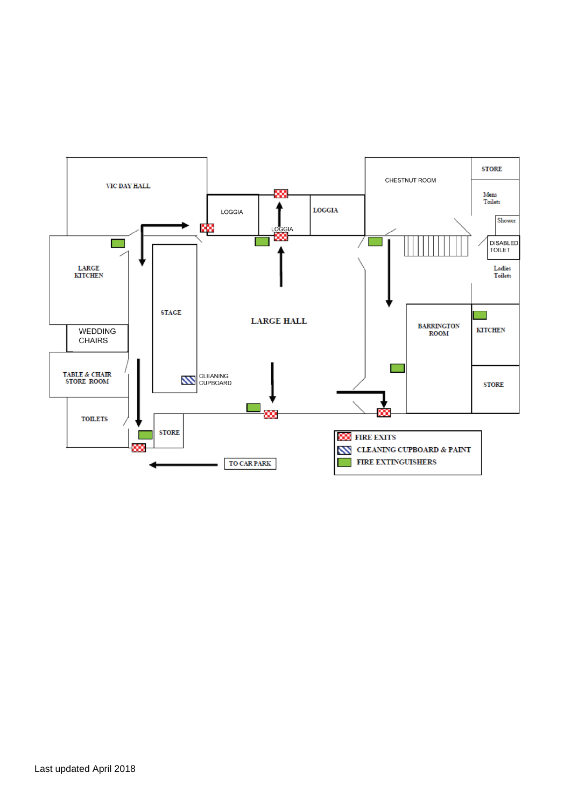